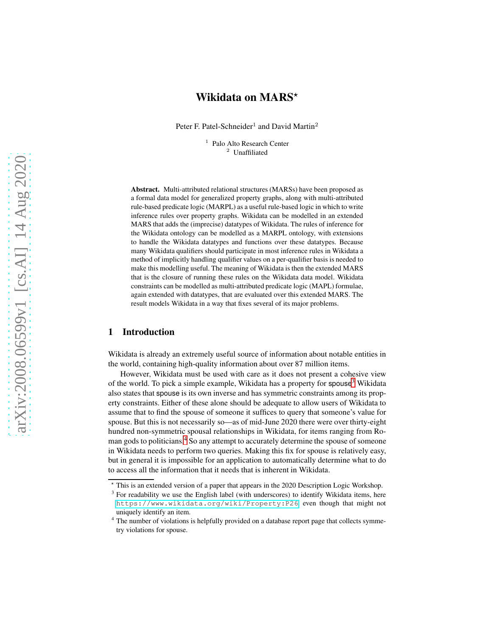# Wikidata on MARS\*

Peter F. Patel-Schneider<sup>1</sup> and David Martin<sup>2</sup>

<sup>1</sup> Palo Alto Research Center <sup>2</sup> Unaffiliated

Abstract. Multi-attributed relational structures (MARSs) have been proposed as a formal data model for generalized property graphs, along with multi-attributed rule-based predicate logic (MARPL) as a useful rule-based logic in which to write inference rules over property graphs. Wikidata can be modelled in an extended MARS that adds the (imprecise) datatypes of Wikidata. The rules of inference for the Wikidata ontology can be modelled as a MARPL ontology, with extensions to handle the Wikidata datatypes and functions over these datatypes. Because many Wikidata qualifiers should participate in most inference rules in Wikidata a method of implicitly handling qualifier values on a per-qualifier basis is needed to make this modelling useful. The meaning of Wikidata is then the extended MARS that is the closure of running these rules on the Wikidata data model. Wikidata constraints can be modelled as multi-attributed predicate logic (MAPL) formulae, again extended with datatypes, that are evaluated over this extended MARS. The result models Wikidata in a way that fixes several of its major problems.

# 1 Introduction

Wikidata is already an extremely useful source of information about notable entities in the world, containing high-quality information about over 87 million items.

However, Wikidata must be used with care as it does not present a cohesive view of the world. To pick a simple example, Wikidata has a property for spouse<sup>[3](#page-0-0)</sup> Wikidata also states that spouse is its own inverse and has symmetric constraints among its property constraints. Either of these alone should be adequate to allow users of Wikidata to assume that to find the spouse of someone it suffices to query that someone's value for spouse. But this is not necessarily so—as of mid-June 2020 there were over thirty-eight hundred non-symmetric spousal relationships in Wikidata, for items ranging from Ro-man gods to politicians.<sup>[4](#page-0-1)</sup> So any attempt to accurately determine the spouse of someone in Wikidata needs to perform two queries. Making this fix for spouse is relatively easy, but in general it is impossible for an application to automatically determine what to do to access all the information that it needs that is inherent in Wikidata.

<sup>⋆</sup> This is an extended version of a paper that appears in the 2020 Description Logic Workshop.

<span id="page-0-0"></span><sup>&</sup>lt;sup>3</sup> For readability we use the English label (with underscores) to identify Wikidata items, here <https://www.wikidata.org/wiki/Property:P26>, even though that might not uniquely identify an item.

<span id="page-0-1"></span><sup>&</sup>lt;sup>4</sup> The number of violations is helpfully provided on a database report page that collects symmetry violations for spouse.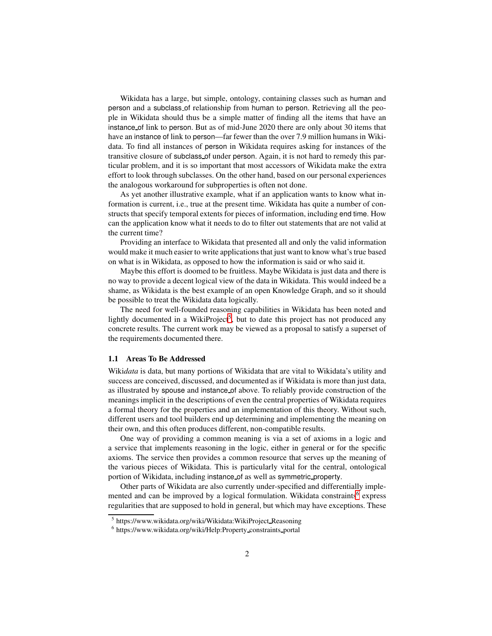Wikidata has a large, but simple, ontology, containing classes such as human and person and a subclass of relationship from human to person. Retrieving all the people in Wikidata should thus be a simple matter of finding all the items that have an instance of link to person. But as of mid-June 2020 there are only about 30 items that have an instance of link to person—far fewer than the over 7.9 million humans in Wikidata. To find all instances of person in Wikidata requires asking for instances of the transitive closure of subclass of under person. Again, it is not hard to remedy this particular problem, and it is so important that most accessors of Wikidata make the extra effort to look through subclasses. On the other hand, based on our personal experiences the analogous workaround for subproperties is often not done.

As yet another illustrative example, what if an application wants to know what information is current, i.e., true at the present time. Wikidata has quite a number of constructs that specify temporal extents for pieces of information, including end time. How can the application know what it needs to do to filter out statements that are not valid at the current time?

Providing an interface to Wikidata that presented all and only the valid information would make it much easier to write applications that just want to know what's true based on what is in Wikidata, as opposed to how the information is said or who said it.

Maybe this effort is doomed to be fruitless. Maybe Wikidata is just data and there is no way to provide a decent logical view of the data in Wikidata. This would indeed be a shame, as Wikidata is the best example of an open Knowledge Graph, and so it should be possible to treat the Wikidata data logically.

The need for well-founded reasoning capabilities in Wikidata has been noted and lightly documented in a WikiProject<sup>[5](#page-1-0)</sup>, but to date this project has not produced any concrete results. The current work may be viewed as a proposal to satisfy a superset of the requirements documented there.

### 1.1 Areas To Be Addressed

Wiki*data* is data, but many portions of Wikidata that are vital to Wikidata's utility and success are conceived, discussed, and documented as if Wikidata is more than just data, as illustrated by spouse and instance of above. To reliably provide construction of the meanings implicit in the descriptions of even the central properties of Wikidata requires a formal theory for the properties and an implementation of this theory. Without such, different users and tool builders end up determining and implementing the meaning on their own, and this often produces different, non-compatible results.

One way of providing a common meaning is via a set of axioms in a logic and a service that implements reasoning in the logic, either in general or for the specific axioms. The service then provides a common resource that serves up the meaning of the various pieces of Wikidata. This is particularly vital for the central, ontological portion of Wikidata, including instance of as well as symmetric property.

Other parts of Wikidata are also currently under-specified and differentially imple-mented and can be improved by a logical formulation. Wikidata constraints<sup>[6](#page-1-1)</sup> express regularities that are supposed to hold in general, but which may have exceptions. These

<sup>5</sup> https://www.wikidata.org/wiki/Wikidata:WikiProject Reasoning

<span id="page-1-1"></span><span id="page-1-0"></span><sup>6</sup> https://www.wikidata.org/wiki/Help:Property constraints portal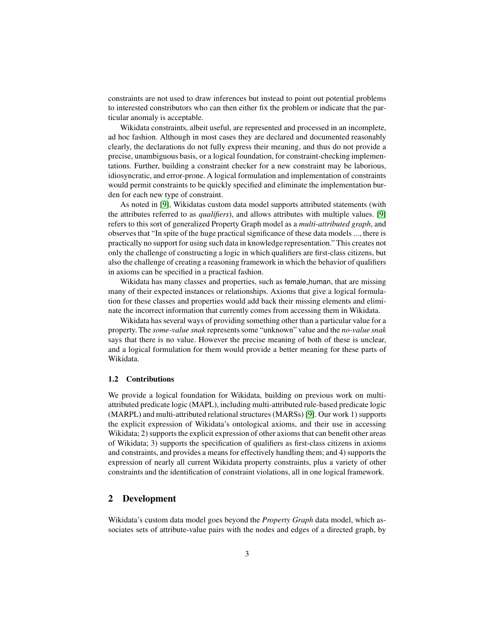constraints are not used to draw inferences but instead to point out potential problems to interested constributors who can then either fix the problem or indicate that the particular anomaly is acceptable.

Wikidata constraints, albeit useful, are represented and processed in an incomplete, ad hoc fashion. Although in most cases they are declared and documented reasonably clearly, the declarations do not fully express their meaning, and thus do not provide a precise, unambiguous basis, or a logical foundation, for constraint-checking implementations. Further, building a constraint checker for a new constraint may be laborious, idiosyncratic, and error-prone. A logical formulation and implementation of constraints would permit constraints to be quickly specified and eliminate the implementation burden for each new type of constraint.

As noted in [\[9\]](#page-13-0), Wikidatas custom data model supports attributed statements (with the attributes referred to as *qualifiers*), and allows attributes with multiple values. [\[9\]](#page-13-0) refers to this sort of generalized Property Graph model as a *multi-attributed graph*, and observes that "In spite of the huge practical significance of these data models ..., there is practically no support for using such data in knowledge representation." This creates not only the challenge of constructing a logic in which qualifiers are first-class citizens, but also the challenge of creating a reasoning framework in which the behavior of qualifiers in axioms can be specified in a practical fashion.

Wikidata has many classes and properties, such as female\_human, that are missing many of their expected instances or relationships. Axioms that give a logical formulation for these classes and properties would add back their missing elements and eliminate the incorrect information that currently comes from accessing them in Wikidata.

Wikidata has several ways of providing something other than a particular value for a property. The *some-value snak* represents some "unknown" value and the *no-value snak* says that there is no value. However the precise meaning of both of these is unclear, and a logical formulation for them would provide a better meaning for these parts of Wikidata.

#### 1.2 Contributions

We provide a logical foundation for Wikidata, building on previous work on multiattributed predicate logic (MAPL), including multi-attributed rule-based predicate logic (MARPL) and multi-attributed relational structures (MARSs) [\[9\]](#page-13-0). Our work 1) supports the explicit expression of Wikidata's ontological axioms, and their use in accessing Wikidata; 2) supports the explicit expression of other axioms that can benefit other areas of Wikidata; 3) supports the specification of qualifiers as first-class citizens in axioms and constraints, and provides a means for effectively handling them; and 4) supports the expression of nearly all current Wikidata property constraints, plus a variety of other constraints and the identification of constraint violations, all in one logical framework.

## 2 Development

Wikidata's custom data model goes beyond the *Property Graph* data model, which associates sets of attribute-value pairs with the nodes and edges of a directed graph, by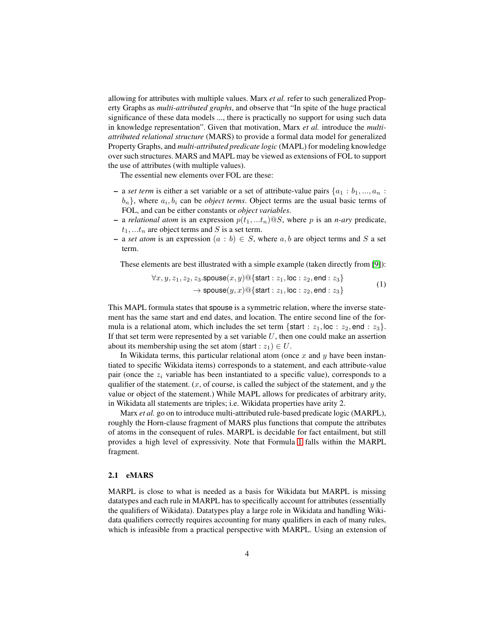allowing for attributes with multiple values. Marx *et al.* refer to such generalized Property Graphs as *multi-attributed graphs*, and observe that "In spite of the huge practical significance of these data models ..., there is practically no support for using such data in knowledge representation". Given that motivation, Marx *et al.* introduce the *multiattributed relational structure* (MARS) to provide a formal data model for generalized Property Graphs, and *multi-attributed predicate logic* (MAPL) for modeling knowledge over such structures. MARS and MAPL may be viewed as extensions of FOL to support the use of attributes (with multiple values).

The essential new elements over FOL are these:

- a *set term* is either a set variable or a set of attribute-value pairs  $\{a_1 : b_1, ..., a_n :$  $b_n$ , where  $a_i, b_i$  can be *object terms*. Object terms are the usual basic terms of FOL, and can be either constants or *object variables*.
- a *relational atom* is an expression  $p(t_1, ... t_n) \tQ S$ , where p is an *n-ary* predicate,  $t_1, \ldots t_n$  are object terms and S is a set term.
- a *set atom* is an expression  $(a : b) \in S$ , where  $a, b$  are object terms and S a set term.

These elements are best illustrated with a simple example (taken directly from [\[9\]](#page-13-0)):

<span id="page-3-0"></span>
$$
\forall x, y, z_1, z_2, z_3.\text{spouse}(x, y) \text{ @{start}: } z_1, \text{loc}: z_2, \text{end}: z_3\}
$$
  
\n
$$
\rightarrow \text{spouse}(y, x) \text{ @{start}: } z_1, \text{loc}: z_2, \text{end}: z_3\}
$$
 (1)

This MAPL formula states that spouse is a symmetric relation, where the inverse statement has the same start and end dates, and location. The entire second line of the formula is a relational atom, which includes the set term {start :  $z_1$ , loc :  $z_2$ , end :  $z_3$ }. If that set term were represented by a set variable  $U$ , then one could make an assertion about its membership using the set atom (start :  $z_1$ )  $\in U$ .

In Wikidata terms, this particular relational atom (once  $x$  and  $y$  have been instantiated to specific Wikidata items) corresponds to a statement, and each attribute-value pair (once the  $z_i$  variable has been instantiated to a specific value), corresponds to a qualifier of the statement.  $(x,$  of course, is called the subject of the statement, and  $y$  the value or object of the statement.) While MAPL allows for predicates of arbitrary arity, in Wikidata all statements are triples; i.e. Wikidata properties have arity 2.

Marx *et al.* go on to introduce multi-attributed rule-based predicate logic (MARPL), roughly the Horn-clause fragment of MARS plus functions that compute the attributes of atoms in the consequent of rules. MARPL is decidable for fact entailment, but still provides a high level of expressivity. Note that Formula [1](#page-3-0) falls within the MARPL fragment.

### 2.1 eMARS

MARPL is close to what is needed as a basis for Wikidata but MARPL is missing datatypes and each rule in MARPL has to specifically account for attributes (essentially the qualifiers of Wikidata). Datatypes play a large role in Wikidata and handling Wikidata qualifiers correctly requires accounting for many qualifiers in each of many rules, which is infeasible from a practical perspective with MARPL. Using an extension of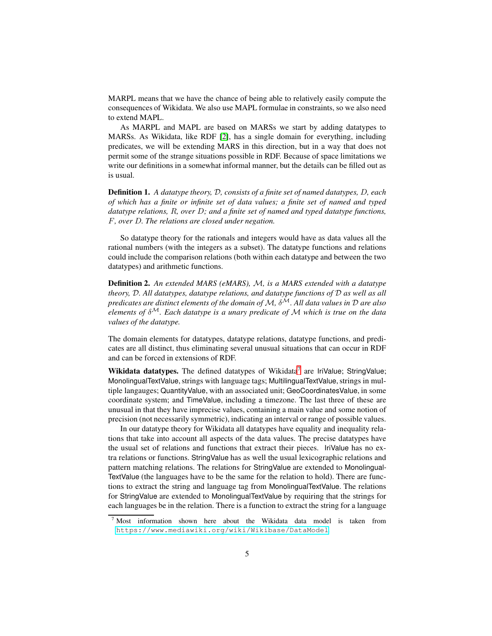MARPL means that we have the chance of being able to relatively easily compute the consequences of Wikidata. We also use MAPL formulae in constraints, so we also need to extend MAPL.

As MARPL and MAPL are based on MARSs we start by adding datatypes to MARSs. As Wikidata, like RDF [\[2\]](#page-12-0), has a single domain for everything, including predicates, we will be extending MARS in this direction, but in a way that does not permit some of the strange situations possible in RDF. Because of space limitations we write our definitions in a somewhat informal manner, but the details can be filled out as is usual.

Definition 1. *A datatype theory,* D*, consists of a finite set of named datatypes,* D*, each of which has a finite or infinite set of data values; a finite set of named and typed datatype relations,* R*, over* D*; and a finite set of named and typed datatype functions,* F*, over* D*. The relations are closed under negation.*

So datatype theory for the rationals and integers would have as data values all the rational numbers (with the integers as a subset). The datatype functions and relations could include the comparison relations (both within each datatype and between the two datatypes) and arithmetic functions.

Definition 2. *An extended MARS (eMARS),* M*, is a MARS extended with a datatype theory,* D*. All datatypes, datatype relations, and datatype functions of* D *as well as all predicates are distinct elements of the domain of* M*,* δ<sup>M</sup>*. All data values in* D *are also elements of* δ<sup>M</sup>*. Each datatype is a unary predicate of* M *which is true on the data values of the datatype.*

The domain elements for datatypes, datatype relations, datatype functions, and predicates are all distinct, thus eliminating several unusual situations that can occur in RDF and can be forced in extensions of RDF.

Wikidata datatypes. The defined datatypes of Wikidata<sup>[7](#page-4-0)</sup> are IriValue; StringValue; MonolingualTextValue, strings with language tags; MultilingualTextValue, strings in multiple langauges; QuantityValue, with an associated unit; GeoCoordinatesValue, in some coordinate system; and TimeValue, including a timezone. The last three of these are unusual in that they have imprecise values, containing a main value and some notion of precision (not necessarily symmetric), indicating an interval or range of possible values.

In our datatype theory for Wikidata all datatypes have equality and inequality relations that take into account all aspects of the data values. The precise datatypes have the usual set of relations and functions that extract their pieces. IriValue has no extra relations or functions. StringValue has as well the usual lexicographic relations and pattern matching relations. The relations for StringValue are extended to Monolingual-TextValue (the languages have to be the same for the relation to hold). There are functions to extract the string and language tag from MonolingualTextValue. The relations for StringValue are extended to MonolingualTextValue by requiring that the strings for each languages be in the relation. There is a function to extract the string for a language

<span id="page-4-0"></span><sup>&</sup>lt;sup>7</sup> Most information shown here about the Wikidata data model is taken from <https://www.mediawiki.org/wiki/Wikibase/DataModel>.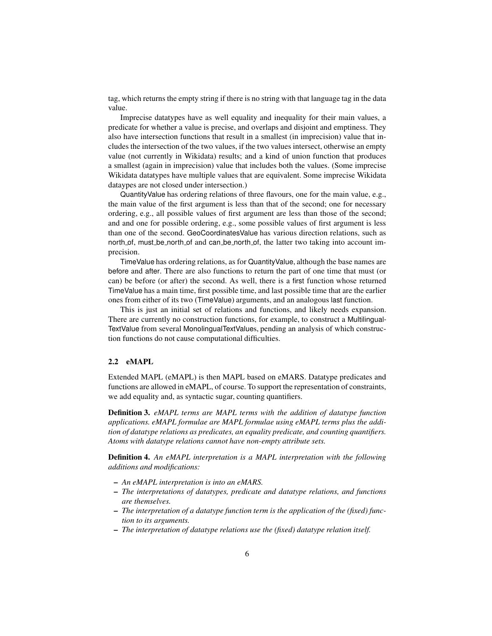tag, which returns the empty string if there is no string with that language tag in the data value.

Imprecise datatypes have as well equality and inequality for their main values, a predicate for whether a value is precise, and overlaps and disjoint and emptiness. They also have intersection functions that result in a smallest (in imprecision) value that includes the intersection of the two values, if the two values intersect, otherwise an empty value (not currently in Wikidata) results; and a kind of union function that produces a smallest (again in imprecision) value that includes both the values. (Some imprecise Wikidata datatypes have multiple values that are equivalent. Some imprecise Wikidata dataypes are not closed under intersection.)

QuantityValue has ordering relations of three flavours, one for the main value, e.g., the main value of the first argument is less than that of the second; one for necessary ordering, e.g., all possible values of first argument are less than those of the second; and and one for possible ordering, e.g., some possible values of first argument is less than one of the second. GeoCoordinatesValue has various direction relations, such as north of, must be north of and can be north of, the latter two taking into account imprecision.

TimeValue has ordering relations, as for QuantityValue, although the base names are before and after. There are also functions to return the part of one time that must (or can) be before (or after) the second. As well, there is a first function whose returned TimeValue has a main time, first possible time, and last possible time that are the earlier ones from either of its two (TimeValue) arguments, and an analogous last function.

This is just an initial set of relations and functions, and likely needs expansion. There are currently no construction functions, for example, to construct a Multilingual-TextValue from several MonolingualTextValues, pending an analysis of which construction functions do not cause computational difficulties.

#### 2.2 eMAPL

Extended MAPL (eMAPL) is then MAPL based on eMARS. Datatype predicates and functions are allowed in eMAPL, of course. To support the representation of constraints, we add equality and, as syntactic sugar, counting quantifiers.

Definition 3. *eMAPL terms are MAPL terms with the addition of datatype function applications. eMAPL formulae are MAPL formulae using eMAPL terms plus the addition of datatype relations as predicates, an equality predicate, and counting quantifiers. Atoms with datatype relations cannot have non-empty attribute sets.*

Definition 4. *An eMAPL interpretation is a MAPL interpretation with the following additions and modifications:*

- *An eMAPL interpretation is into an eMARS.*
- *The interpretations of datatypes, predicate and datatype relations, and functions are themselves.*
- *The interpretation of a datatype function term is the application of the (fixed) function to its arguments.*
- *The interpretation of datatype relations use the (fixed) datatype relation itself.*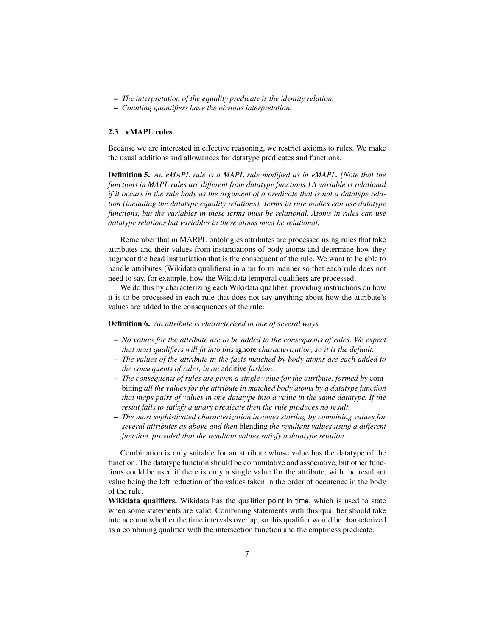- *The interpretation of the equality predicate is the identity relation.*
- *Counting quantifiers have the obvious interpretation.*

### 2.3 eMAPL rules

Because we are interested in effective reasoning, we restrict axioms to rules. We make the usual additions and allowances for datatype predicates and functions.

Definition 5. *An eMAPL rule is a MAPL rule modified as in eMAPL. (Note that the functions in MAPL rules are different from datatype functions.) A variable is relational if it occurs in the rule body as the argument of a predicate that is not a datatype relation (including the datatype equality relations). Terms in rule bodies can use datatype functions, but the variables in these terms must be relational. Atoms in rules can use datatype relations but variables in these atoms must be relational.*

Remember that in MARPL ontologies attributes are processed using rules that take attributes and their values from instantiations of body atoms and determine how they augment the head instantiation that is the consequent of the rule. We want to be able to handle attributes (Wikidata qualifiers) in a uniform manner so that each rule does not need to say, for example, how the Wikidata temporal qualifiers are processed.

We do this by characterizing each Wikidata qualifier, providing instructions on how it is to be processed in each rule that does not say anything about how the attribute's values are added to the consequences of the rule.

Definition 6. *An attribute is characterized in one of several ways.*

- *No values for the attribute are to be added to the consequents of rules. We expect that most qualifiers will fit into this* ignore *characterization, so it is the default.*
- *The values of the attribute in the facts matched by body atoms are each added to the consequents of rules, in an* additive *fashion.*
- *The consequents of rules are given a single value for the attribute, formed by* combining *all the values for the attribute in matched body atoms by a datatype function that maps pairs of values in one datatype into a value in the same datatype. If the result fails to satisfy a unary predicate then the rule produces no result.*
- *The most sophisticated characterization involves starting by combining values for several attributes as above and then* blending *the resultant values using a different function, provided that the resultant values satisfy a datatype relation.*

Combination is only suitable for an attribute whose value has the datatype of the function. The datatype function should be commutative and associative, but other functions could be used if there is only a single value for the attribute, with the resultant value being the left reduction of the values taken in the order of occurence in the body of the rule.

Wikidata qualifiers. Wikidata has the qualifier point in time, which is used to state when some statements are valid. Combining statements with this qualifier should take into account whether the time intervals overlap, so this qualifier would be characterized as a combining qualifier with the intersection function and the emptiness predicate.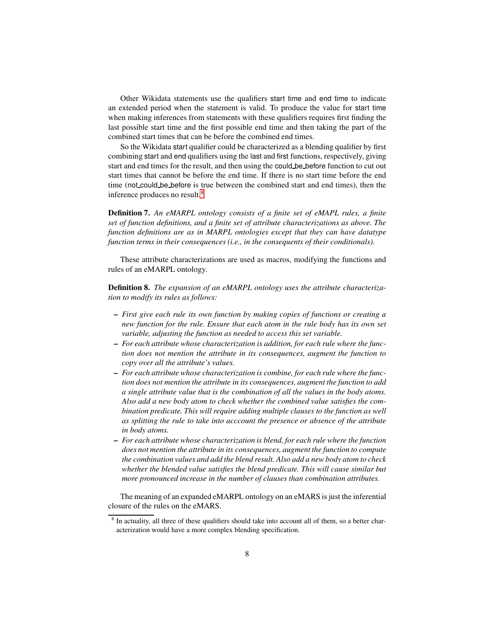Other Wikidata statements use the qualifiers start time and end time to indicate an extended period when the statement is valid. To produce the value for start time when making inferences from statements with these qualifiers requires first finding the last possible start time and the first possible end time and then taking the part of the combined start times that can be before the combined end times.

So the Wikidata start qualifier could be characterized as a blending qualifier by first combining start and end qualifiers using the last and first functions, respectively, giving start and end times for the result, and then using the could be before function to cut out start times that cannot be before the end time. If there is no start time before the end time (not could be before is true between the combined start and end times), then the inference produces no result.[8](#page-7-0)

Definition 7. *An eMARPL ontology consists of a finite set of eMAPL rules, a finite set of function definitions, and a finite set of attribute characterizations as above. The function definitions are as in MARPL ontologies except that they can have datatype function terms in their consequences (i.e., in the consequents of their conditionals).*

These attribute characterizations are used as macros, modifying the functions and rules of an eMARPL ontology.

Definition 8. *The expansion of an eMARPL ontology uses the attribute characterization to modify its rules as follows:*

- *First give each rule its own function by making copies of functions or creating a new function for the rule. Ensure that each atom in the rule body has its own set variable, adjusting the function as needed to access this set variable.*
- *For each attribute whose characterization is addition, for each rule where the function does not mention the attribute in its consequences, augment the function to copy over all the attribute's values.*
- *For each attribute whose characterization is combine, for each rule where the function does not mention the attribute in its consequences, augment the function to add a single attribute value that is the combination of all the values in the body atoms. Also add a new body atom to check whether the combined value satisfies the combination predicate. This will require adding multiple clauses to the function as well as splitting the rule to take into acccount the presence or absence of the attribute in body atoms.*
- *For each attribute whose characterization is blend, for each rule where the function does not mention the attribute in its consequences, augment the function to compute the combination values and add the blend result. Also add a new body atom to check whether the blended value satisfies the blend predicate. This will cause similar but more pronounced increase in the number of clauses than combination attributes.*

The meaning of an expanded eMARPL ontology on an eMARS is just the inferential closure of the rules on the eMARS.

<span id="page-7-0"></span><sup>&</sup>lt;sup>8</sup> In actuality, all three of these qualifiers should take into account all of them, so a better characterization would have a more complex blending specification.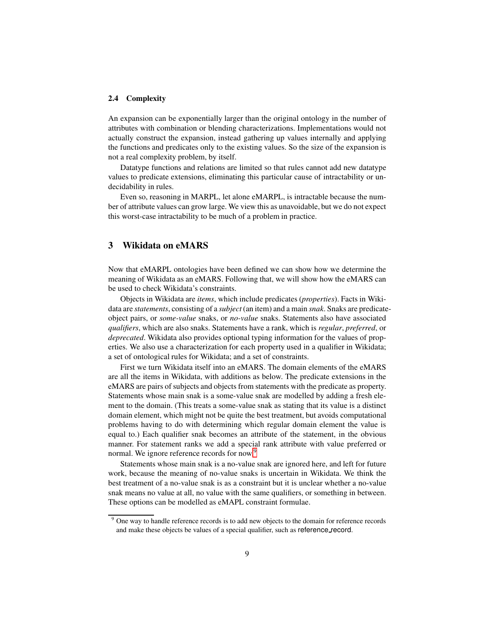#### 2.4 Complexity

An expansion can be exponentially larger than the original ontology in the number of attributes with combination or blending characterizations. Implementations would not actually construct the expansion, instead gathering up values internally and applying the functions and predicates only to the existing values. So the size of the expansion is not a real complexity problem, by itself.

Datatype functions and relations are limited so that rules cannot add new datatype values to predicate extensions, eliminating this particular cause of intractability or undecidability in rules.

Even so, reasoning in MARPL, let alone eMARPL, is intractable because the number of attribute values can grow large. We view this as unavoidable, but we do not expect this worst-case intractability to be much of a problem in practice.

### 3 Wikidata on eMARS

Now that eMARPL ontologies have been defined we can show how we determine the meaning of Wikidata as an eMARS. Following that, we will show how the eMARS can be used to check Wikidata's constraints.

Objects in Wikidata are *items*, which include predicates (*properties*). Facts in Wikidata are *statements*, consisting of a *subject* (an item) and a main *snak*. Snaks are predicateobject pairs, or *some-value* snaks, or *no-value* snaks. Statements also have associated *qualifiers*, which are also snaks. Statements have a rank, which is *regular*, *preferred*, or *deprecated*. Wikidata also provides optional typing information for the values of properties. We also use a characterization for each property used in a qualifier in Wikidata; a set of ontological rules for Wikidata; and a set of constraints.

First we turn Wikidata itself into an eMARS. The domain elements of the eMARS are all the items in Wikidata, with additions as below. The predicate extensions in the eMARS are pairs of subjects and objects from statements with the predicate as property. Statements whose main snak is a some-value snak are modelled by adding a fresh element to the domain. (This treats a some-value snak as stating that its value is a distinct domain element, which might not be quite the best treatment, but avoids computational problems having to do with determining which regular domain element the value is equal to.) Each qualifier snak becomes an attribute of the statement, in the obvious manner. For statement ranks we add a special rank attribute with value preferred or normal. We ignore reference records for now.<sup>[9](#page-8-0)</sup>

Statements whose main snak is a no-value snak are ignored here, and left for future work, because the meaning of no-value snaks is uncertain in Wikidata. We think the best treatment of a no-value snak is as a constraint but it is unclear whether a no-value snak means no value at all, no value with the same qualifiers, or something in between. These options can be modelled as eMAPL constraint formulae.

<span id="page-8-0"></span><sup>&</sup>lt;sup>9</sup> One way to handle reference records is to add new objects to the domain for reference records and make these objects be values of a special qualifier, such as reference record.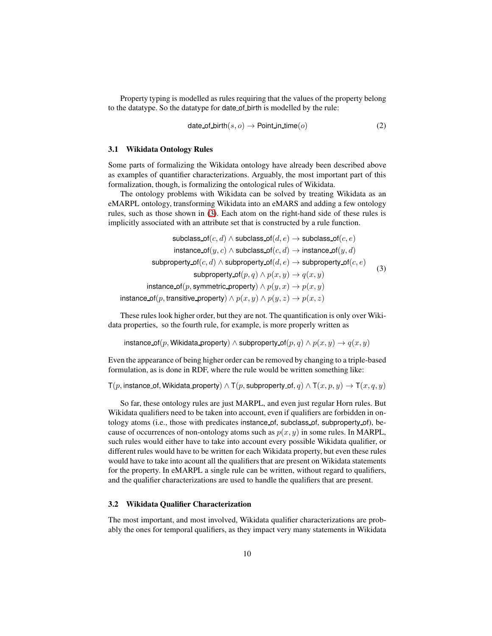Property typing is modelled as rules requiring that the values of the property belong to the datatype. So the datatype for date of birth is modelled by the rule:

<span id="page-9-0"></span>
$$
date_of\_birth(s, o) \rightarrow Point\_in\_time(o)
$$
 (2)

#### 3.1 Wikidata Ontology Rules

Some parts of formalizing the Wikidata ontology have already been described above as examples of quantifier characterizations. Arguably, the most important part of this formalization, though, is formalizing the ontological rules of Wikidata.

The ontology problems with Wikidata can be solved by treating Wikidata as an eMARPL ontology, transforming Wikidata into an eMARS and adding a few ontology rules, such as those shown in [\(3\)](#page-9-0). Each atom on the right-hand side of these rules is implicitly associated with an attribute set that is constructed by a rule function.

$$
\begin{array}{ll}\text{subclass\_of}(c,d)\land \text{subclass\_of}(d,e)\to \text{subclass\_of}(c,e) \\ \text{instance\_of}(y,c)\land \text{subclass\_of}(c,d)\to \text{instance\_of}(y,d) \\ \text{subproperty\_of}(c,d)\land \text{subproperty\_of}(d,e)\to \text{subproperty\_of}(c,e) \\ \text{subproperty\_of}(p,q)\land p(x,y)\to q(x,y) \\ \text{instance\_of}(p,\text{symmetric\_property})\land p(y,x)\to p(x,y) \end{array} \qquad (3)
$$

These rules look higher order, but they are not. The quantification is only over Wikidata properties, so the fourth rule, for example, is more properly written as

instance of(p, Wikidata property) ∧ subproperty of(p,q) ∧  $p(x, y) \rightarrow q(x, y)$ 

Even the appearance of being higher order can be removed by changing to a triple-based formulation, as is done in RDF, where the rule would be written something like:

T(p, instance of, Wikidata property)  $\land$  T(p, subproperty of, q)  $\land$  T(x, p, y)  $\rightarrow$  T(x, q, y)

So far, these ontology rules are just MARPL, and even just regular Horn rules. But Wikidata qualifiers need to be taken into account, even if qualifiers are forbidden in ontology atoms (i.e., those with predicates instance of, subclass of, subproperty of), because of occurrences of non-ontology atoms such as  $p(x, y)$  in some rules. In MARPL, such rules would either have to take into account every possible Wikidata qualifier, or different rules would have to be written for each Wikidata property, but even these rules would have to take into acount all the qualifiers that are present on Wikidata statements for the property. In eMARPL a single rule can be written, without regard to qualifiers, and the qualifier characterizations are used to handle the qualifiers that are present.

### 3.2 Wikidata Qualifier Characterization

The most important, and most involved, Wikidata qualifier characterizations are probably the ones for temporal qualifiers, as they impact very many statements in Wikidata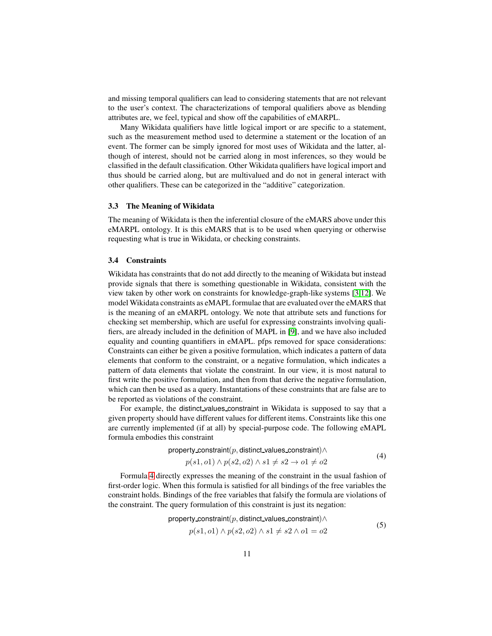and missing temporal qualifiers can lead to considering statements that are not relevant to the user's context. The characterizations of temporal qualifiers above as blending attributes are, we feel, typical and show off the capabilities of eMARPL.

Many Wikidata qualifiers have little logical import or are specific to a statement, such as the measurement method used to determine a statement or the location of an event. The former can be simply ignored for most uses of Wikidata and the latter, although of interest, should not be carried along in most inferences, so they would be classified in the default classification. Other Wikidata qualifiers have logical import and thus should be carried along, but are multivalued and do not in general interact with other qualifiers. These can be categorized in the "additive" categorization.

#### 3.3 The Meaning of Wikidata

The meaning of Wikidata is then the inferential closure of the eMARS above under this eMARPL ontology. It is this eMARS that is to be used when querying or otherwise requesting what is true in Wikidata, or checking constraints.

### 3.4 Constraints

Wikidata has constraints that do not add directly to the meaning of Wikidata but instead provide signals that there is something questionable in Wikidata, consistent with the view taken by other work on constraints for knowledge-graph-like systems [\[3,](#page-12-1)[12\]](#page-13-1). We model Wikidata constraints as eMAPL formulae that are evaluated over the eMARS that is the meaning of an eMARPL ontology. We note that attribute sets and functions for checking set membership, which are useful for expressing constraints involving qualifiers, are already included in the definition of MAPL in [\[9\]](#page-13-0), and we have also included equality and counting quantifiers in eMAPL. pfps removed for space considerations: Constraints can either be given a positive formulation, which indicates a pattern of data elements that conform to the constraint, or a negative formulation, which indicates a pattern of data elements that violate the constraint. In our view, it is most natural to first write the positive formulation, and then from that derive the negative formulation, which can then be used as a query. Instantations of these constraints that are false are to be reported as violations of the constraint.

For example, the distinct values constraint in Wikidata is supposed to say that a given property should have different values for different items. Constraints like this one are currently implemented (if at all) by special-purpose code. The following eMAPL formula embodies this constraint

property\_constraint(p, distinct\_values\_constraint) $\land$ 

<span id="page-10-1"></span><span id="page-10-0"></span>
$$
p(s1, o1) \land p(s2, o2) \land s1 \neq s2 \rightarrow o1 \neq o2
$$
\n(4)

Formula [4](#page-10-0) directly expresses the meaning of the constraint in the usual fashion of first-order logic. When this formula is satisfied for all bindings of the free variables the constraint holds. Bindings of the free variables that falsify the formula are violations of the constraint. The query formulation of this constraint is just its negation:

property-constraint
$$
(p, \text{distinct_values}.\text{constraint}) \land
$$
  
 $p(s1, o1) \land p(s2, o2) \land s1 \neq s2 \land o1 = o2$  (5)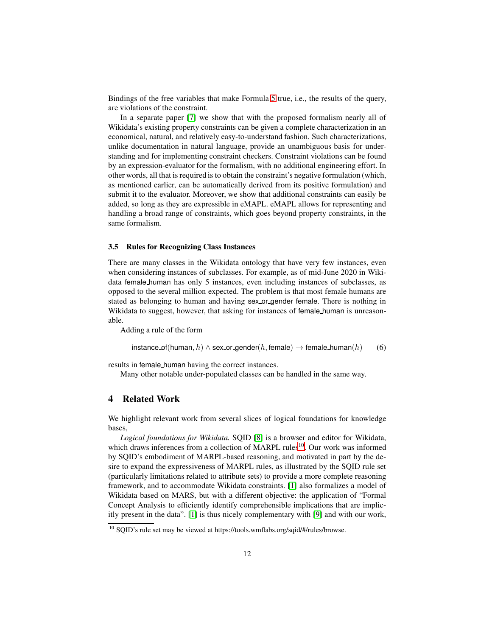Bindings of the free variables that make Formula [5](#page-10-1) true, i.e., the results of the query, are violations of the constraint.

In a separate paper [\[7\]](#page-13-2) we show that with the proposed formalism nearly all of Wikidata's existing property constraints can be given a complete characterization in an economical, natural, and relatively easy-to-understand fashion. Such characterizations, unlike documentation in natural language, provide an unambiguous basis for understanding and for implementing constraint checkers. Constraint violations can be found by an expression-evaluator for the formalism, with no additional engineering effort. In other words, all that is required is to obtain the constraint's negative formulation (which, as mentioned earlier, can be automatically derived from its positive formulation) and submit it to the evaluator. Moreover, we show that additional constraints can easily be added, so long as they are expressible in eMAPL. eMAPL allows for representing and handling a broad range of constraints, which goes beyond property constraints, in the same formalism.

### 3.5 Rules for Recognizing Class Instances

There are many classes in the Wikidata ontology that have very few instances, even when considering instances of subclasses. For example, as of mid-June 2020 in Wikidata female human has only 5 instances, even including instances of subclasses, as opposed to the several million expected. The problem is that most female humans are stated as belonging to human and having sex or gender female. There is nothing in Wikidata to suggest, however, that asking for instances of female human is unreasonable.

Adding a rule of the form

instance of(human, h)  $\land$  sex or gender(h, female)  $\rightarrow$  female human(h) (6)

results in female human having the correct instances.

Many other notable under-populated classes can be handled in the same way.

### 4 Related Work

We highlight relevant work from several slices of logical foundations for knowledge bases,

*Logical foundations for Wikidata.* SQID [\[8\]](#page-13-3) is a browser and editor for Wikidata, which draws inferences from a collection of MARPL rules<sup>[10](#page-11-0)</sup>. Our work was informed by SQID's embodiment of MARPL-based reasoning, and motivated in part by the desire to expand the expressiveness of MARPL rules, as illustrated by the SQID rule set (particularly limitations related to attribute sets) to provide a more complete reasoning framework, and to accommodate Wikidata constraints. [\[1\]](#page-12-2) also formalizes a model of Wikidata based on MARS, but with a different objective: the application of "Formal Concept Analysis to efficiently identify comprehensible implications that are implicitly present in the data". [\[1\]](#page-12-2) is thus nicely complementary with [\[9\]](#page-13-0) and with our work,

<span id="page-11-0"></span><sup>&</sup>lt;sup>10</sup> SQID's rule set may be viewed at https://tools.wmflabs.org/sqid/#/rules/browse.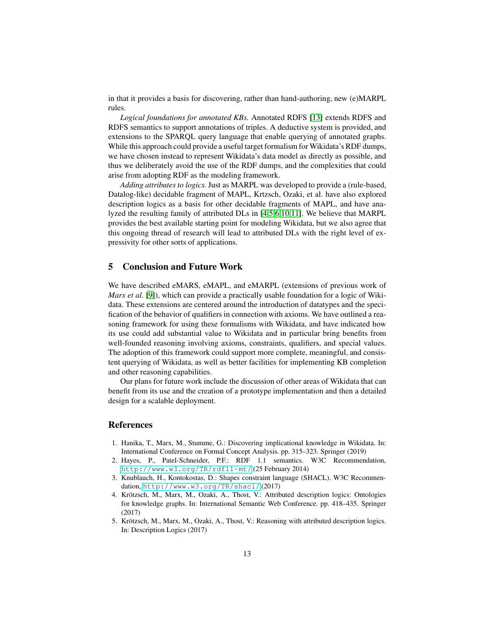in that it provides a basis for discovering, rather than hand-authoring, new (e)MARPL rules.

*Logical foundations for annotated KBs.* Annotated RDFS [\[13\]](#page-13-4) extends RDFS and RDFS semantics to support annotations of triples. A deductive system is provided, and extensions to the SPARQL query language that enable querying of annotated graphs. While this approach could provide a useful target formalism for Wikidata's RDF dumps, we have chosen instead to represent Wikidata's data model as directly as possible, and thus we deliberately avoid the use of the RDF dumps, and the complexities that could arise from adopting RDF as the modeling framework.

*Adding attributes to logics.* Just as MARPL was developed to provide a (rule-based, Datalog-like) decidable fragment of MAPL, Krtzsch, Ozaki, et al. have also explored description logics as a basis for other decidable fragments of MAPL, and have analyzed the resulting family of attributed DLs in [\[4](#page-12-3)[,5](#page-12-4)[,6](#page-13-5)[,10](#page-13-6)[,11\]](#page-13-7). We believe that MARPL provides the best available starting point for modeling Wikidata, but we also agree that this ongoing thread of research will lead to attributed DLs with the right level of expressivity for other sorts of applications.

### 5 Conclusion and Future Work

We have described eMARS, eMAPL, and eMARPL (extensions of previous work of *Marx et al.* [\[9\]](#page-13-0)), which can provide a practically usable foundation for a logic of Wikidata. These extensions are centered around the introduction of datatypes and the specification of the behavior of qualifiers in connection with axioms. We have outlined a reasoning framework for using these formalisms with Wikidata, and have indicated how its use could add substantial value to Wikidata and in particular bring benefits from well-founded reasoning involving axioms, constraints, qualifiers, and special values. The adoption of this framework could support more complete, meaningful, and consistent querying of Wikidata, as well as better facilities for implementing KB completion and other reasoning capabilities.

Our plans for future work include the discussion of other areas of Wikidata that can benefit from its use and the creation of a prototype implementation and then a detailed design for a scalable deployment.

### References

- <span id="page-12-2"></span>1. Hanika, T., Marx, M., Stumme, G.: Discovering implicational knowledge in Wikidata. In: International Conference on Formal Concept Analysis. pp. 315–323. Springer (2019)
- <span id="page-12-0"></span>2. Hayes, P., Patel-Schneider, P.F.: RDF 1.1 semantics. W3C Recommendation, <http://www.w3.org/TR/rdf11-mt/> (25 February 2014)
- <span id="page-12-1"></span>3. Knublauch, H., Kontokostas, D.: Shapes constraint language (SHACL). W3C Recommendation, <http://www.w3.org/TR/shacl/> (2017)
- <span id="page-12-3"></span>4. Krötzsch, M., Marx, M., Ozaki, A., Thost, V.: Attributed description logics: Ontologies for knowledge graphs. In: International Semantic Web Conference. pp. 418–435. Springer (2017)
- <span id="page-12-4"></span>5. Krötzsch, M., Marx, M., Ozaki, A., Thost, V.: Reasoning with attributed description logics. In: Description Logics (2017)